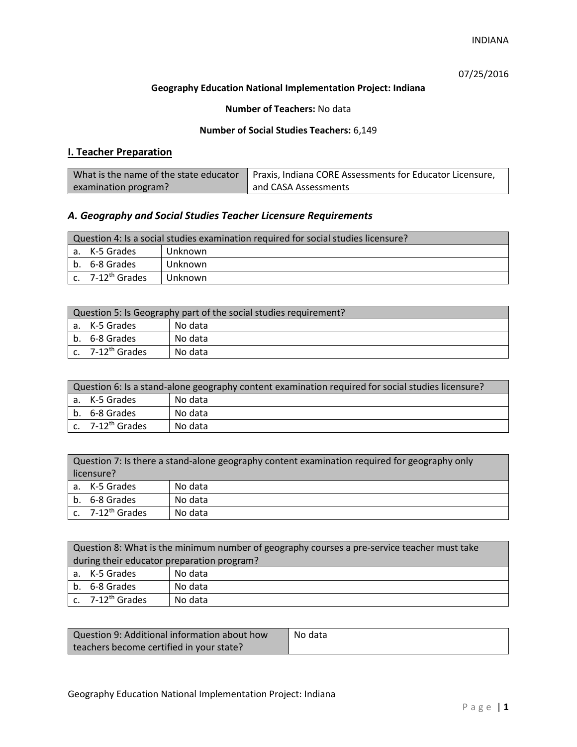07/25/2016

## **Geography Education National Implementation Project: Indiana**

## **Number of Teachers:** No data

## **Number of Social Studies Teachers:** 6,149

# **I. Teacher Preparation**

|                      | What is the name of the state educator   Praxis, Indiana CORE Assessments for Educator Licensure, |
|----------------------|---------------------------------------------------------------------------------------------------|
| examination program? | and CASA Assessments                                                                              |

## *A. Geography and Social Studies Teacher Licensure Requirements*

| Question 4: Is a social studies examination required for social studies licensure? |                              |         |  |
|------------------------------------------------------------------------------------|------------------------------|---------|--|
|                                                                                    | a. K-5 Grades<br>Unknown     |         |  |
|                                                                                    | b. 6-8 Grades<br>Unknown     |         |  |
|                                                                                    | c. 7-12 <sup>th</sup> Grades | Unknown |  |

| Question 5: Is Geography part of the social studies requirement? |                              |         |
|------------------------------------------------------------------|------------------------------|---------|
|                                                                  | l a. K-5 Grades              | No data |
|                                                                  | b. 6-8 Grades                | No data |
|                                                                  | c. 7-12 <sup>th</sup> Grades | No data |

| Question 6: Is a stand-alone geography content examination required for social studies licensure? |                       |         |  |
|---------------------------------------------------------------------------------------------------|-----------------------|---------|--|
|                                                                                                   | a. K-5 Grades         | No data |  |
|                                                                                                   | b. 6-8 Grades         | No data |  |
|                                                                                                   | c. $7-12^{th}$ Grades | No data |  |

|            | Question 7: Is there a stand-alone geography content examination required for geography only |         |  |
|------------|----------------------------------------------------------------------------------------------|---------|--|
| licensure? |                                                                                              |         |  |
|            | a. K-5 Grades                                                                                | No data |  |
|            | b. 6-8 Grades                                                                                | No data |  |
|            | c. 7-12 <sup>th</sup> Grades                                                                 | No data |  |

|                                            | Question 8: What is the minimum number of geography courses a pre-service teacher must take |         |  |
|--------------------------------------------|---------------------------------------------------------------------------------------------|---------|--|
| during their educator preparation program? |                                                                                             |         |  |
|                                            | a. K-5 Grades                                                                               | No data |  |
|                                            | b. 6-8 Grades                                                                               | No data |  |
|                                            | c. $7-12^{th}$ Grades                                                                       | No data |  |

| Question 9: Additional information about how | No data |
|----------------------------------------------|---------|
| teachers become certified in your state?     |         |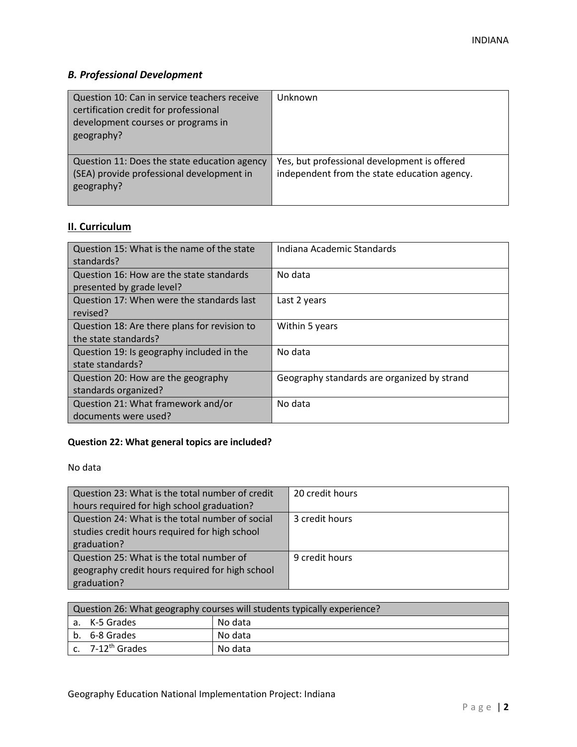# *B. Professional Development*

| Question 10: Can in service teachers receive<br>certification credit for professional<br>development courses or programs in<br>geography? | Unknown                                                                                      |
|-------------------------------------------------------------------------------------------------------------------------------------------|----------------------------------------------------------------------------------------------|
| Question 11: Does the state education agency<br>(SEA) provide professional development in<br>geography?                                   | Yes, but professional development is offered<br>independent from the state education agency. |

# **II. Curriculum**

| Question 15: What is the name of the state<br>standards?              | Indiana Academic Standards                  |
|-----------------------------------------------------------------------|---------------------------------------------|
| Question 16: How are the state standards<br>presented by grade level? | No data                                     |
| Question 17: When were the standards last<br>revised?                 | Last 2 years                                |
| Question 18: Are there plans for revision to<br>the state standards?  | Within 5 years                              |
| Question 19: Is geography included in the<br>state standards?         | No data                                     |
| Question 20: How are the geography<br>standards organized?            | Geography standards are organized by strand |
| Question 21: What framework and/or<br>documents were used?            | No data                                     |

# **Question 22: What general topics are included?**

No data

| Question 23: What is the total number of credit | 20 credit hours |
|-------------------------------------------------|-----------------|
| hours required for high school graduation?      |                 |
| Question 24: What is the total number of social | 3 credit hours  |
| studies credit hours required for high school   |                 |
| graduation?                                     |                 |
| Question 25: What is the total number of        | 9 credit hours  |
| geography credit hours required for high school |                 |
| graduation?                                     |                 |

| Question 26: What geography courses will students typically experience? |                              |         |
|-------------------------------------------------------------------------|------------------------------|---------|
|                                                                         | a. K-5 Grades                | No data |
|                                                                         | b. 6-8 Grades                | No data |
|                                                                         | c. 7-12 <sup>th</sup> Grades | No data |